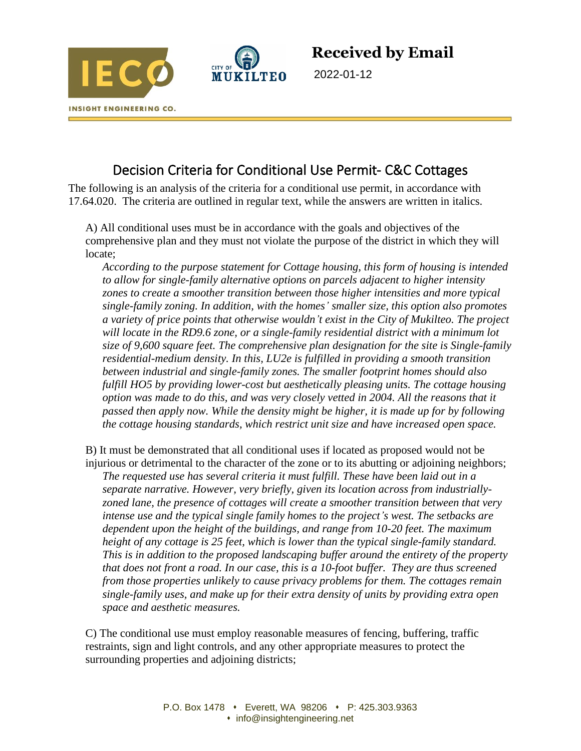



**Received by Email**

2022-01-12

## Decision Criteria for Conditional Use Permit- C&C Cottages

The following is an analysis of the criteria for a conditional use permit, in accordance with 17.64.020. The criteria are outlined in regular text, while the answers are written in italics.

A) All conditional uses must be in accordance with the goals and objectives of the comprehensive plan and they must not violate the purpose of the district in which they will locate;

*According to the purpose statement for Cottage housing, this form of housing is intended to allow for single-family alternative options on parcels adjacent to higher intensity zones to create a smoother transition between those higher intensities and more typical single-family zoning. In addition, with the homes' smaller size, this option also promotes a variety of price points that otherwise wouldn't exist in the City of Mukilteo. The project will locate in the RD9.6 zone, or a single-family residential district with a minimum lot size of 9,600 square feet. The comprehensive plan designation for the site is Single-family residential-medium density. In this, LU2e is fulfilled in providing a smooth transition between industrial and single-family zones. The smaller footprint homes should also fulfill HO5 by providing lower-cost but aesthetically pleasing units. The cottage housing option was made to do this, and was very closely vetted in 2004. All the reasons that it passed then apply now. While the density might be higher, it is made up for by following the cottage housing standards, which restrict unit size and have increased open space.* 

B) It must be demonstrated that all conditional uses if located as proposed would not be injurious or detrimental to the character of the zone or to its abutting or adjoining neighbors;

*The requested use has several criteria it must fulfill. These have been laid out in a separate narrative. However, very briefly, given its location across from industriallyzoned lane, the presence of cottages will create a smoother transition between that very intense use and the typical single family homes to the project's west. The setbacks are dependent upon the height of the buildings, and range from 10-20 feet. The maximum height of any cottage is 25 feet, which is lower than the typical single-family standard. This is in addition to the proposed landscaping buffer around the entirety of the property that does not front a road. In our case, this is a 10-foot buffer. They are thus screened from those properties unlikely to cause privacy problems for them. The cottages remain single-family uses, and make up for their extra density of units by providing extra open space and aesthetic measures.* 

C) The conditional use must employ reasonable measures of fencing, buffering, traffic restraints, sign and light controls, and any other appropriate measures to protect the surrounding properties and adjoining districts;